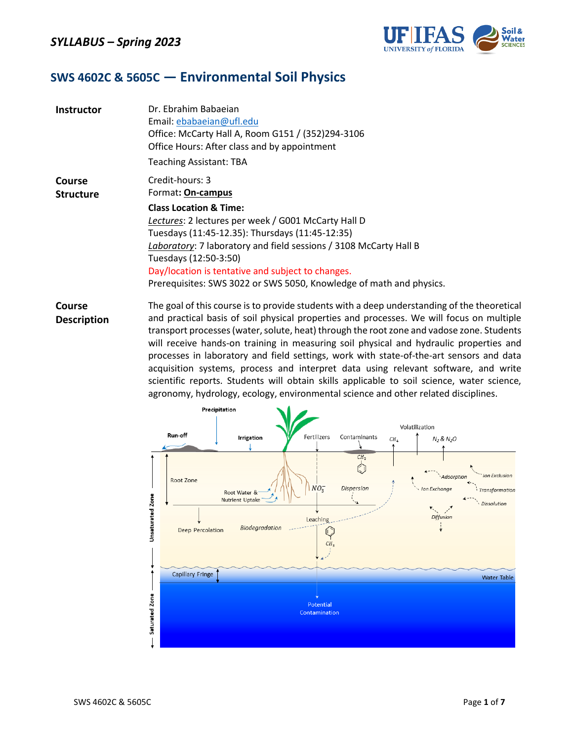

### **SWS 4602C & 5605C ― Environmental Soil Physics**

| <b>Instructor</b>          | Dr. Ebrahim Babaejan<br>Email: ebabaeian@ufl.edu<br>Office: McCarty Hall A, Room G151 / (352)294-3106<br>Office Hours: After class and by appointment<br><b>Teaching Assistant: TBA</b>                                                                                                                                                                                                                       |
|----------------------------|---------------------------------------------------------------------------------------------------------------------------------------------------------------------------------------------------------------------------------------------------------------------------------------------------------------------------------------------------------------------------------------------------------------|
| Course<br><b>Structure</b> | Credit-hours: 3<br>Format: On-campus<br><b>Class Location &amp; Time:</b><br>Lectures: 2 lectures per week / G001 McCarty Hall D<br>Tuesdays (11:45-12.35): Thursdays (11:45-12:35)<br>Laboratory: 7 laboratory and field sessions / 3108 McCarty Hall B<br>Tuesdays (12:50-3:50)<br>Day/location is tentative and subject to changes.<br>Prerequisites: SWS 3022 or SWS 5050, Knowledge of math and physics. |

**Course Description** The goal of this course is to provide students with a deep understanding of the theoretical and practical basis of soil physical properties and processes. We will focus on multiple transport processes (water, solute, heat) through the root zone and vadose zone. Students will receive hands-on training in measuring soil physical and hydraulic properties and processes in laboratory and field settings, work with state-of-the-art sensors and data acquisition systems, process and interpret data using relevant software, and write scientific reports. Students will obtain skills applicable to soil science, water science, agronomy, hydrology, ecology, environmental science and other related disciplines.

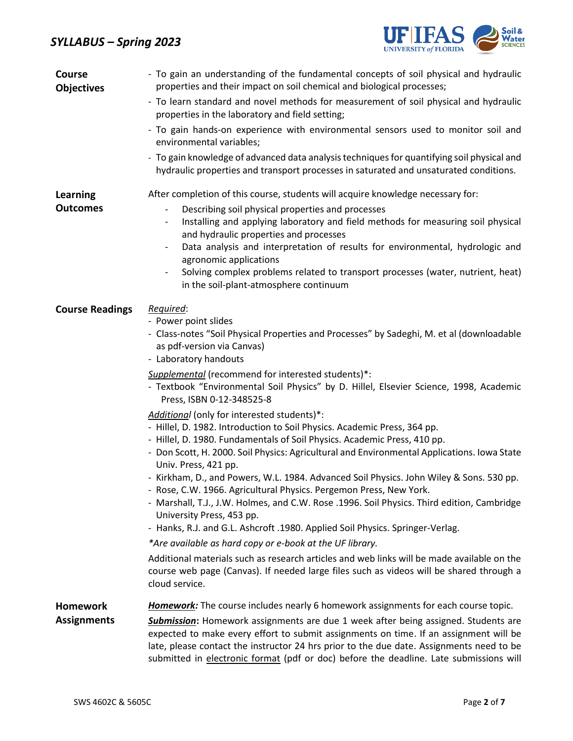# *SYLLABUS – Spring 2023*



| <b>Course</b><br><b>Objectives</b> | - To gain an understanding of the fundamental concepts of soil physical and hydraulic<br>properties and their impact on soil chemical and biological processes;                                                                                                                                                                                                                                                                                                                                                                                                                           |  |  |  |  |
|------------------------------------|-------------------------------------------------------------------------------------------------------------------------------------------------------------------------------------------------------------------------------------------------------------------------------------------------------------------------------------------------------------------------------------------------------------------------------------------------------------------------------------------------------------------------------------------------------------------------------------------|--|--|--|--|
|                                    | - To learn standard and novel methods for measurement of soil physical and hydraulic<br>properties in the laboratory and field setting;                                                                                                                                                                                                                                                                                                                                                                                                                                                   |  |  |  |  |
|                                    | - To gain hands-on experience with environmental sensors used to monitor soil and<br>environmental variables;                                                                                                                                                                                                                                                                                                                                                                                                                                                                             |  |  |  |  |
|                                    | - To gain knowledge of advanced data analysis techniques for quantifying soil physical and<br>hydraulic properties and transport processes in saturated and unsaturated conditions.                                                                                                                                                                                                                                                                                                                                                                                                       |  |  |  |  |
| <b>Learning</b>                    | After completion of this course, students will acquire knowledge necessary for:                                                                                                                                                                                                                                                                                                                                                                                                                                                                                                           |  |  |  |  |
| <b>Outcomes</b>                    | Describing soil physical properties and processes<br>Installing and applying laboratory and field methods for measuring soil physical<br>$\overline{\phantom{a}}$<br>and hydraulic properties and processes<br>Data analysis and interpretation of results for environmental, hydrologic and<br>$\overline{\phantom{a}}$                                                                                                                                                                                                                                                                  |  |  |  |  |
|                                    | agronomic applications<br>Solving complex problems related to transport processes (water, nutrient, heat)<br>$\overline{\phantom{a}}$<br>in the soil-plant-atmosphere continuum                                                                                                                                                                                                                                                                                                                                                                                                           |  |  |  |  |
| <b>Course Readings</b>             | Required:<br>- Power point slides<br>- Class-notes "Soil Physical Properties and Processes" by Sadeghi, M. et al (downloadable<br>as pdf-version via Canvas)<br>- Laboratory handouts                                                                                                                                                                                                                                                                                                                                                                                                     |  |  |  |  |
|                                    | Supplemental (recommend for interested students)*:<br>- Textbook "Environmental Soil Physics" by D. Hillel, Elsevier Science, 1998, Academic<br>Press, ISBN 0-12-348525-8                                                                                                                                                                                                                                                                                                                                                                                                                 |  |  |  |  |
|                                    | Additional (only for interested students)*:<br>- Hillel, D. 1982. Introduction to Soil Physics. Academic Press, 364 pp.<br>- Hillel, D. 1980. Fundamentals of Soil Physics. Academic Press, 410 pp.<br>- Don Scott, H. 2000. Soil Physics: Agricultural and Environmental Applications. Iowa State<br>Univ. Press, 421 pp.<br>- Kirkham, D., and Powers, W.L. 1984. Advanced Soil Physics. John Wiley & Sons. 530 pp.<br>- Rose, C.W. 1966. Agricultural Physics. Pergemon Press, New York.<br>- Marshall, T.J., J.W. Holmes, and C.W. Rose .1996. Soil Physics. Third edition, Cambridge |  |  |  |  |
|                                    | University Press, 453 pp.<br>- Hanks, R.J. and G.L. Ashcroft .1980. Applied Soil Physics. Springer-Verlag.                                                                                                                                                                                                                                                                                                                                                                                                                                                                                |  |  |  |  |
|                                    | *Are available as hard copy or e-book at the UF library.                                                                                                                                                                                                                                                                                                                                                                                                                                                                                                                                  |  |  |  |  |
|                                    | Additional materials such as research articles and web links will be made available on the<br>course web page (Canvas). If needed large files such as videos will be shared through a<br>cloud service.                                                                                                                                                                                                                                                                                                                                                                                   |  |  |  |  |
| <b>Homework</b>                    | Homework: The course includes nearly 6 homework assignments for each course topic.                                                                                                                                                                                                                                                                                                                                                                                                                                                                                                        |  |  |  |  |
| <b>Assignments</b>                 | Submission: Homework assignments are due 1 week after being assigned. Students are<br>expected to make every effort to submit assignments on time. If an assignment will be<br>late, please contact the instructor 24 hrs prior to the due date. Assignments need to be<br>submitted in electronic format (pdf or doc) before the deadline. Late submissions will                                                                                                                                                                                                                         |  |  |  |  |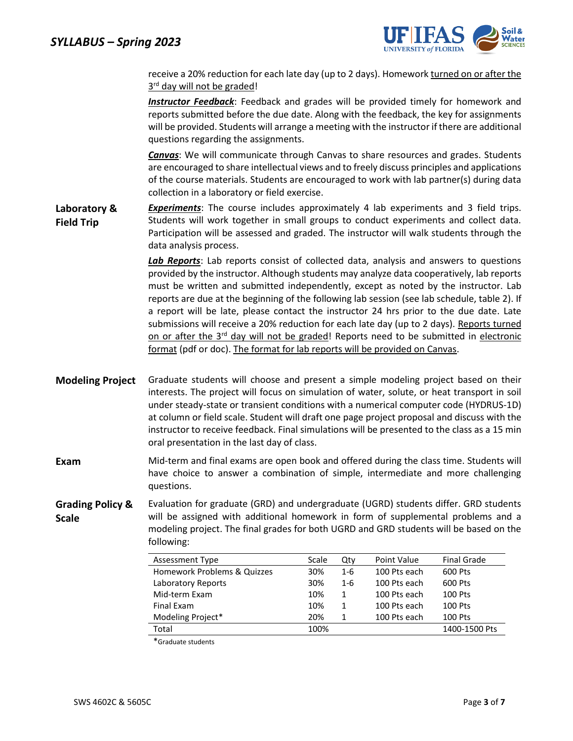

receive a 20% reduction for each late day (up to 2 days). Homework turned on or after the 3<sup>rd</sup> day will not be graded!

*Instructor Feedback*: Feedback and grades will be provided timely for homework and reports submitted before the due date. Along with the feedback, the key for assignments will be provided. Students will arrange a meeting with the instructor if there are additional questions regarding the assignments.

*Canvas*: We will communicate through Canvas to share resources and grades. Students are encouraged to share intellectual views and to freely discuss principles and applications of the course materials. Students are encouraged to work with lab partner(s) during data collection in a laboratory or field exercise.

**Laboratory & Field Trip** *Experiments*: The course includes approximately 4 lab experiments and 3 field trips. Students will work together in small groups to conduct experiments and collect data. Participation will be assessed and graded. The instructor will walk students through the data analysis process.

> *Lab Reports*: Lab reports consist of collected data, analysis and answers to questions provided by the instructor. Although students may analyze data cooperatively, lab reports must be written and submitted independently, except as noted by the instructor. Lab reports are due at the beginning of the following lab session (see lab schedule, table 2). If a report will be late, please contact the instructor 24 hrs prior to the due date. Late submissions will receive a 20% reduction for each late day (up to 2 days). Reports turned on or after the  $3<sup>rd</sup>$  day will not be graded! Reports need to be submitted in electronic format (pdf or doc). The format for lab reports will be provided on Canvas.

- **Modeling Project** Graduate students will choose and present a simple modeling project based on their interests. The project will focus on simulation of water, solute, or heat transport in soil under steady-state or transient conditions with a numerical computer code (HYDRUS-1D) at column or field scale. Student will draft one page project proposal and discuss with the instructor to receive feedback. Final simulations will be presented to the class as a 15 min oral presentation in the last day of class.
- **Exam** Mid-term and final exams are open book and offered during the class time. Students will have choice to answer a combination of simple, intermediate and more challenging questions.

**Grading Policy & Scale** Evaluation for graduate (GRD) and undergraduate (UGRD) students differ. GRD students will be assigned with additional homework in form of supplemental problems and a modeling project. The final grades for both UGRD and GRD students will be based on the following:

| Assessment Type             | Scale | Qtv     | Point Value  | <b>Final Grade</b> |
|-----------------------------|-------|---------|--------------|--------------------|
| Homework Problems & Quizzes | 30%   | $1 - 6$ | 100 Pts each | 600 Pts            |
| Laboratory Reports          | 30%   | $1 - 6$ | 100 Pts each | 600 Pts            |
| Mid-term Exam               | 10%   | 1       | 100 Pts each | 100 Pts            |
| Final Exam                  | 10%   |         | 100 Pts each | 100 Pts            |
| Modeling Project*           | 20%   |         | 100 Pts each | 100 Pts            |
| Total                       | 100%  |         |              | 1400-1500 Pts      |

\*Graduate students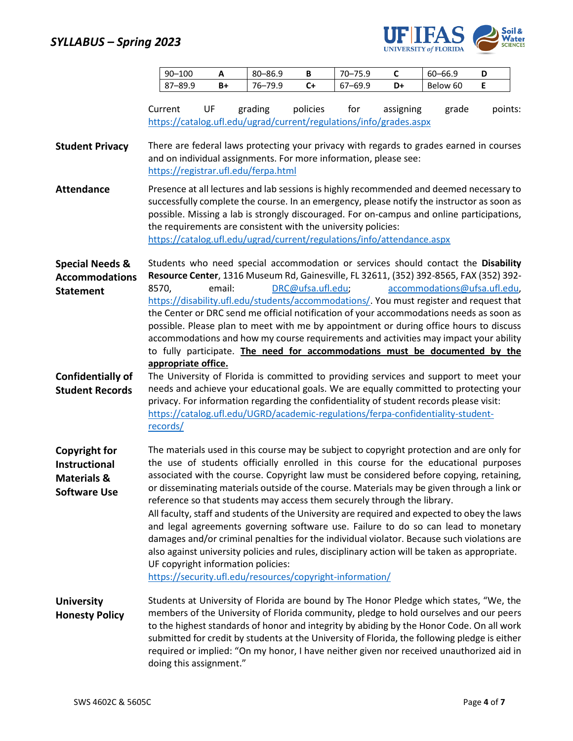

| $90 - 100$ |    | $80 - 86.9$       | D  | $70-$<br>75.9 | ∼  | $60 - 66.9$ | ш |
|------------|----|-------------------|----|---------------|----|-------------|---|
| 87-89.5    | B+ | 76—.<br>70 Q<br>u | C+ | 7–69.9        | D+ | Below 60    |   |

|                                                                                        | Current                      | UF     | grading                              | policies                                                         | for | assigning<br>https://catalog.ufl.edu/ugrad/current/regulations/info/grades.aspx                                                                                                                                                                                                                                                                                                                                                                                                                                                                                                                                                                                                                                                                                                                                                            | grade                        | points: |
|----------------------------------------------------------------------------------------|------------------------------|--------|--------------------------------------|------------------------------------------------------------------|-----|--------------------------------------------------------------------------------------------------------------------------------------------------------------------------------------------------------------------------------------------------------------------------------------------------------------------------------------------------------------------------------------------------------------------------------------------------------------------------------------------------------------------------------------------------------------------------------------------------------------------------------------------------------------------------------------------------------------------------------------------------------------------------------------------------------------------------------------------|------------------------------|---------|
| <b>Student Privacy</b>                                                                 |                              |        | https://registrar.ufl.edu/ferpa.html | and on individual assignments. For more information, please see: |     | There are federal laws protecting your privacy with regards to grades earned in courses                                                                                                                                                                                                                                                                                                                                                                                                                                                                                                                                                                                                                                                                                                                                                    |                              |         |
| <b>Attendance</b>                                                                      |                              |        |                                      | the requirements are consistent with the university policies:    |     | Presence at all lectures and lab sessions is highly recommended and deemed necessary to<br>successfully complete the course. In an emergency, please notify the instructor as soon as<br>possible. Missing a lab is strongly discouraged. For on-campus and online participations,<br>https://catalog.ufl.edu/ugrad/current/regulations/info/attendance.aspx                                                                                                                                                                                                                                                                                                                                                                                                                                                                               |                              |         |
| <b>Special Needs &amp;</b><br><b>Accommodations</b><br><b>Statement</b>                | 8570,<br>appropriate office. | email: |                                      | DRC@ufsa.ufl.edu;                                                |     | Students who need special accommodation or services should contact the Disability<br>Resource Center, 1316 Museum Rd, Gainesville, FL 32611, (352) 392-8565, FAX (352) 392-<br>https://disability.ufl.edu/students/accommodations/. You must register and request that<br>the Center or DRC send me official notification of your accommodations needs as soon as<br>possible. Please plan to meet with me by appointment or during office hours to discuss<br>accommodations and how my course requirements and activities may impact your ability<br>to fully participate. The need for accommodations must be documented by the                                                                                                                                                                                                         | accommodations@ufsa.ufl.edu, |         |
| <b>Confidentially of</b><br><b>Student Records</b>                                     | records/                     |        |                                      |                                                                  |     | The University of Florida is committed to providing services and support to meet your<br>needs and achieve your educational goals. We are equally committed to protecting your<br>privacy. For information regarding the confidentiality of student records please visit:<br>https://catalog.ufl.edu/UGRD/academic-regulations/ferpa-confidentiality-student-                                                                                                                                                                                                                                                                                                                                                                                                                                                                              |                              |         |
| <b>Copyright for</b><br>Instructional<br><b>Materials &amp;</b><br><b>Software Use</b> |                              |        | UF copyright information policies:   | https://security.ufl.edu/resources/copyright-information/        |     | The materials used in this course may be subject to copyright protection and are only for<br>the use of students officially enrolled in this course for the educational purposes<br>associated with the course. Copyright law must be considered before copying, retaining,<br>or disseminating materials outside of the course. Materials may be given through a link or<br>reference so that students may access them securely through the library.<br>All faculty, staff and students of the University are required and expected to obey the laws<br>and legal agreements governing software use. Failure to do so can lead to monetary<br>damages and/or criminal penalties for the individual violator. Because such violations are<br>also against university policies and rules, disciplinary action will be taken as appropriate. |                              |         |
| <b>University</b><br><b>Honesty Policy</b>                                             | doing this assignment."      |        |                                      |                                                                  |     | Students at University of Florida are bound by The Honor Pledge which states, "We, the<br>members of the University of Florida community, pledge to hold ourselves and our peers<br>to the highest standards of honor and integrity by abiding by the Honor Code. On all work<br>submitted for credit by students at the University of Florida, the following pledge is either<br>required or implied: "On my honor, I have neither given nor received unauthorized aid in                                                                                                                                                                                                                                                                                                                                                                 |                              |         |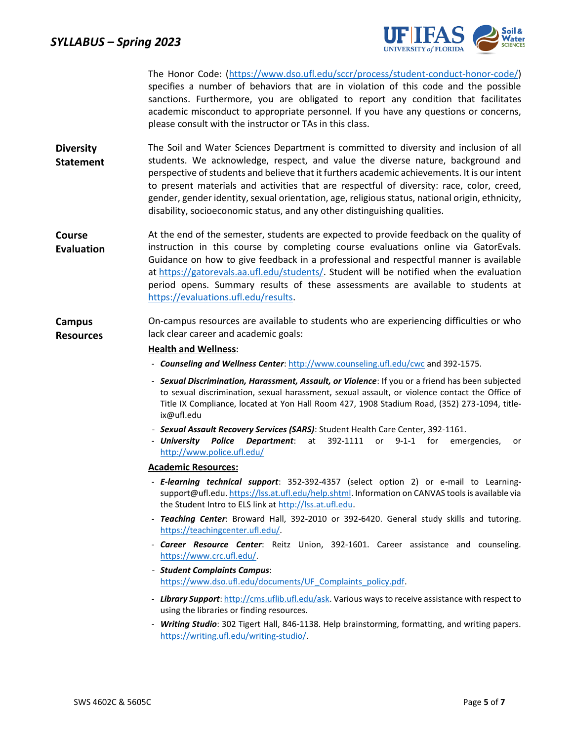

The Honor Code: (https://www.dso.ufl.edu/sccr/process/student-conduct-honor-code/) specifies a number of behaviors that are in violation of this code and the possible sanctions. Furthermore, you are obligated to report any condition that facilitates academic misconduct to appropriate personnel. If you have any questions or concerns, please consult with the instructor or TAs in this class.

- **Diversity Statement** The Soil and Water Sciences Department is committed to diversity and inclusion of all students. We acknowledge, respect, and value the diverse nature, background and perspective of students and believe that it furthers academic achievements. It is our intent to present materials and activities that are respectful of diversity: race, color, creed, gender, gender identity, sexual orientation, age, religious status, national origin, ethnicity, disability, socioeconomic status, and any other distinguishing qualities.
- **Course Evaluation** At the end of the semester, students are expected to provide feedback on the quality of instruction in this course by completing course evaluations online via GatorEvals. Guidance on how to give feedback in a professional and respectful manner is available at [https://gatorevals.aa.ufl.edu/students/.](https://gatorevals.aa.ufl.edu/students/) Student will be notified when the evaluation period opens. Summary results of these assessments are available to students at https://evaluations.ufl.edu/results.
- **Campus Resources** On-campus resources are available to students who are experiencing difficulties or who lack clear career and academic goals:

### **Health and Wellness**:

- *Counseling and Wellness Center*[: http://www.counseling.ufl.edu/cwc](http://www.counseling.ufl.edu/cwc) and 392-1575.
- *Sexual Discrimination, Harassment, Assault, or Violence*: If you or a friend has been subjected to sexual discrimination, sexual harassment, sexual assault, or violence contact the Office of Title IX Compliance, located at Yon Hall Room 427, 1908 Stadium Road, (352) 273-1094, titleix@ufl.edu
- *Sexual Assault Recovery Services (SARS)*: Student Health Care Center, 392-1161.
- *University Police Department*: at 392-1111 or 9-1-1 for emergencies, or <http://www.police.ufl.edu/>

#### **Academic Resources:**

- *E-learning technical support*: 352-392-4357 (select option 2) or e-mail to Learning-support@ufl.edu[. https://lss.at.ufl.edu/help.shtml.](https://lss.at.ufl.edu/help.shtml) Information on CANVAS tools is available via the Student Intro to ELS link a[t http://lss.at.ufl.edu.](http://lss.at.ufl.edu/)
- *Teaching Center*: Broward Hall, 392-2010 or 392-6420. General study skills and tutoring. [https://teachingcenter.ufl.edu/.](https://teachingcenter.ufl.edu/)
- *Career Resource Center*: Reitz Union, 392-1601. Career assistance and counseling. [https://www.crc.ufl.edu/.](https://www.crc.ufl.edu/)
- *Student Complaints Campus*: [https://www.dso.ufl.edu/documents/UF\\_Complaints\\_policy.pdf.](https://www.dso.ufl.edu/documents/UF_Complaints_policy.pdf)
- Library Support[: http://cms.uflib.ufl.edu/ask.](http://cms.uflib.ufl.edu/ask) Various ways to receive assistance with respect to using the libraries or finding resources.
- *Writing Studio*: 302 Tigert Hall, 846-1138. Help brainstorming, formatting, and writing papers. [https://writing.ufl.edu/writing-studio/.](https://writing.ufl.edu/writing-studio/)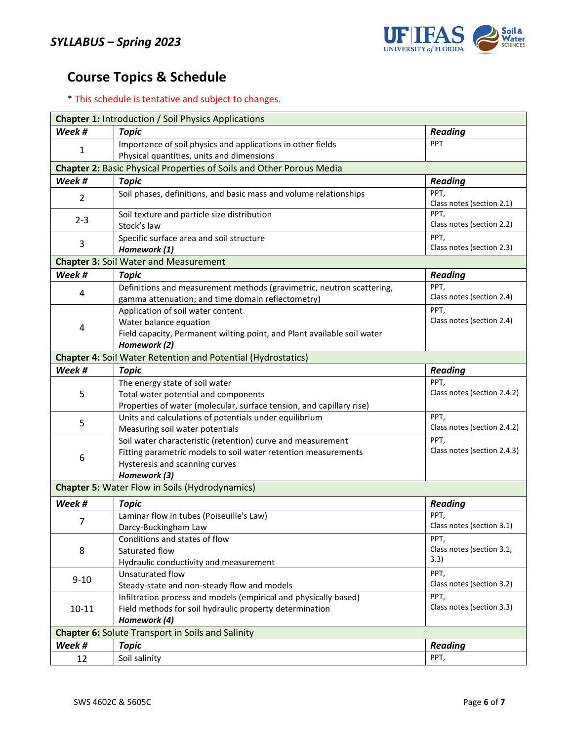

# **Course Topics & Schedule**

\* This schedule is tentative and subject to changes.

| <b>Chapter 1: Introduction / Soil Physics Applications</b>                  |                                                                                                |                                     |  |  |  |
|-----------------------------------------------------------------------------|------------------------------------------------------------------------------------------------|-------------------------------------|--|--|--|
| Week #                                                                      | <b>Topic</b>                                                                                   | <b>Reading</b>                      |  |  |  |
|                                                                             | Importance of soil physics and applications in other fields                                    | PPT                                 |  |  |  |
| 1                                                                           | Physical quantities, units and dimensions                                                      |                                     |  |  |  |
| <b>Chapter 2: Basic Physical Properties of Soils and Other Porous Media</b> |                                                                                                |                                     |  |  |  |
| Week #                                                                      | <b>Topic</b>                                                                                   | <b>Reading</b>                      |  |  |  |
| $\overline{2}$                                                              | Soil phases, definitions, and basic mass and volume relationships                              | PPT,                                |  |  |  |
|                                                                             |                                                                                                | Class notes (section 2.1)           |  |  |  |
| $2 - 3$                                                                     | Soil texture and particle size distribution                                                    | PPT,                                |  |  |  |
|                                                                             | Stock's law                                                                                    | Class notes (section 2.2)           |  |  |  |
| 3                                                                           | Specific surface area and soil structure                                                       | PPT,                                |  |  |  |
|                                                                             | Homework (1)                                                                                   | Class notes (section 2.3)           |  |  |  |
|                                                                             | <b>Chapter 3: Soil Water and Measurement</b>                                                   |                                     |  |  |  |
| Week #                                                                      | <b>Topic</b>                                                                                   | <b>Reading</b>                      |  |  |  |
| 4                                                                           | Definitions and measurement methods (gravimetric, neutron scattering,                          | PPT,                                |  |  |  |
|                                                                             | gamma attenuation; and time domain reflectometry)                                              | Class notes (section 2.4)           |  |  |  |
|                                                                             | Application of soil water content                                                              | PPT,                                |  |  |  |
| 4                                                                           | Water balance equation                                                                         | Class notes (section 2.4)           |  |  |  |
|                                                                             | Field capacity, Permanent wilting point, and Plant available soil water                        |                                     |  |  |  |
|                                                                             | Homework (2)                                                                                   |                                     |  |  |  |
|                                                                             | <b>Chapter 4: Soil Water Retention and Potential (Hydrostatics)</b>                            |                                     |  |  |  |
| Week #                                                                      | <b>Topic</b>                                                                                   | <b>Reading</b>                      |  |  |  |
|                                                                             | The energy state of soil water                                                                 | PPT,<br>Class notes (section 2.4.2) |  |  |  |
| 5                                                                           | Total water potential and components                                                           |                                     |  |  |  |
|                                                                             | Properties of water (molecular, surface tension, and capillary rise)                           | PPT,                                |  |  |  |
| 5                                                                           | Units and calculations of potentials under equilibrium                                         | Class notes (section 2.4.2)         |  |  |  |
|                                                                             | Measuring soil water potentials<br>Soil water characteristic (retention) curve and measurement | PPT,                                |  |  |  |
|                                                                             | Fitting parametric models to soil water retention measurements                                 | Class notes (section 2.4.3)         |  |  |  |
| 6                                                                           | Hysteresis and scanning curves                                                                 |                                     |  |  |  |
|                                                                             | Homework (3)                                                                                   |                                     |  |  |  |
|                                                                             | <b>Chapter 5: Water Flow in Soils (Hydrodynamics)</b>                                          |                                     |  |  |  |
|                                                                             |                                                                                                |                                     |  |  |  |
| Week #                                                                      | <b>Topic</b>                                                                                   | <b>Reading</b><br>PPT,              |  |  |  |
| 7                                                                           | Laminar flow in tubes (Poiseuille's Law)<br>Darcy-Buckingham Law                               | Class notes (section 3.1)           |  |  |  |
|                                                                             | Conditions and states of flow                                                                  | PPT,                                |  |  |  |
| 8                                                                           | Saturated flow                                                                                 | Class notes (section 3.1,           |  |  |  |
|                                                                             | Hydraulic conductivity and measurement                                                         | 3.3)                                |  |  |  |
|                                                                             | Unsaturated flow                                                                               | PPT,                                |  |  |  |
| $9 - 10$                                                                    | Steady-state and non-steady flow and models                                                    | Class notes (section 3.2)           |  |  |  |
|                                                                             | Infiltration process and models (empirical and physically based)                               | PPT,                                |  |  |  |
| $10 - 11$                                                                   | Field methods for soil hydraulic property determination                                        | Class notes (section 3.3)           |  |  |  |
|                                                                             | Homework (4)                                                                                   |                                     |  |  |  |
| <b>Chapter 6: Solute Transport in Soils and Salinity</b>                    |                                                                                                |                                     |  |  |  |
| Week #                                                                      | <b>Topic</b>                                                                                   | <b>Reading</b>                      |  |  |  |
| 12                                                                          | Soil salinity                                                                                  | PPT,                                |  |  |  |
|                                                                             |                                                                                                |                                     |  |  |  |